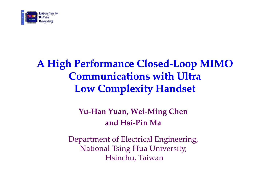

### A High Performance Closed-Loop MIMO Communications with Ultra Low Complexity Handset

#### Yu-Han Yuan, Wei-Ming Chen and Hsi-Pin Ma

Department of Electrical Engineering, National Tsing Hua University, Hsinchu, Taiwan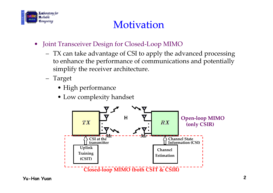

### **Motivation**

- $\bullet$  Joint Transceiver Design for Closed-Loop MIMO
	- $-$  TV can take advantage of CSI to apply the a TX can take advantage of CSI to apply the advanced processing to enhance the performance of communications and potentially simplify the receiver architecture.
	- Target
		- High performance
		- Low complexity handset

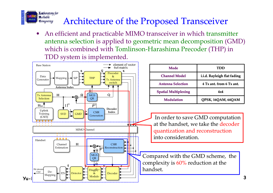#### Laboratory for  $\mathbf{R}$ eliable Architecture of the Proposed Transceiver*<u>Computing</u>*

• An efficient and practicable MIMO transceiver in which transmitter antenna selection is applied to geometric mean decomposition (GMD) which is combined with Tomlinson-Harashima Precoder (THP) in TDD system is implemented.



| Mode                        | TDD                         |  |
|-----------------------------|-----------------------------|--|
| <b>Channel Model</b>        | i.i.d. Rayleigh flat fading |  |
| <b>Antenna Selection</b>    | 4 Tx ant. from 6 Tx ant.    |  |
| <b>Spatial Multiplexing</b> | 4×4                         |  |
| <b>Modulation</b>           | QPSK, 16QAM, 64QAM          |  |

In order to save GMD computation at the handset, we take the decoder quantization and reconstructioninto consideration.

Compared with the GMD scheme, the complexity is 60% reduction at the<br>banded: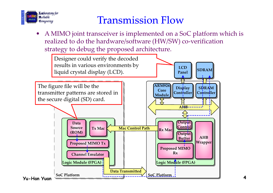

#### Transmission Flow

 A MIMO joint transceiver is implemented on a SoC platform which is •realized to do the hardware/software (HW/SW) co-verification strategy to debug the proposed architecture.